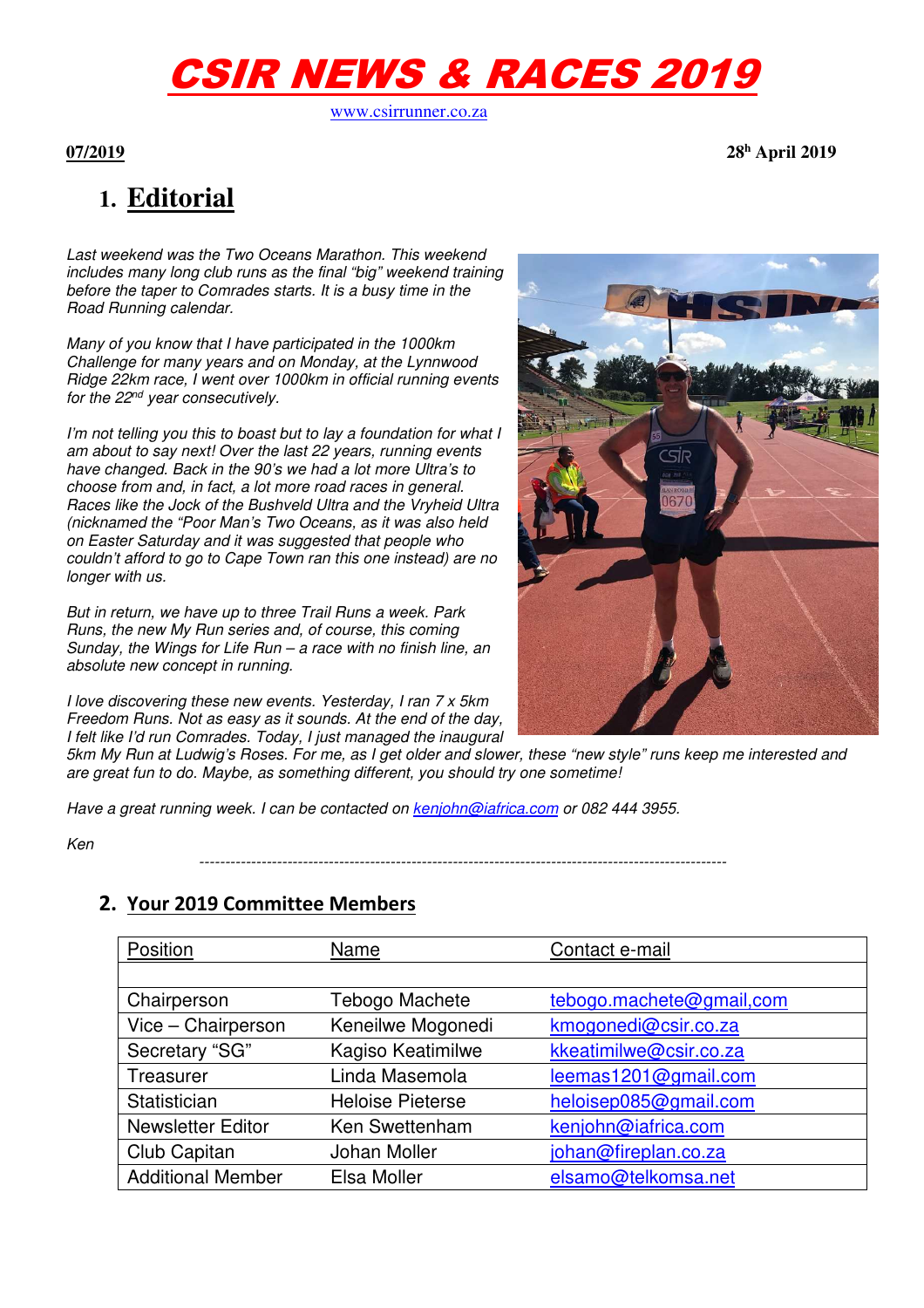# CSIR NEWS & RACES 2019

www.csirrunner.co.za

#### **07/2019 28<sup>h</sup>**

 **April 2019** 

# **1. Editorial**

Last weekend was the Two Oceans Marathon. This weekend includes many long club runs as the final "big" weekend training before the taper to Comrades starts. It is a busy time in the Road Running calendar.

Many of you know that I have participated in the 1000km Challenge for many years and on Monday, at the Lynnwood Ridge 22km race, I went over 1000km in official running events for the 22<sup>nd</sup> year consecutively.

I'm not telling you this to boast but to lay a foundation for what I am about to say next! Over the last 22 years, running events have changed. Back in the 90's we had a lot more Ultra's to choose from and, in fact, a lot more road races in general. Races like the Jock of the Bushveld Ultra and the Vryheid Ultra (nicknamed the "Poor Man's Two Oceans, as it was also held on Easter Saturday and it was suggested that people who couldn't afford to go to Cape Town ran this one instead) are no longer with us.

But in return, we have up to three Trail Runs a week. Park Runs, the new My Run series and, of course, this coming Sunday, the Wings for Life Run  $-$  a race with no finish line, an absolute new concept in running.

I love discovering these new events. Yesterday, I ran 7 x 5km Freedom Runs. Not as easy as it sounds. At the end of the day, I felt like I'd run Comrades. Today, I just managed the inaugural

5km My Run at Ludwig's Roses. For me, as I get older and slower, these "new style" runs keep me interested and are great fun to do. Maybe, as something different, you should try one sometime!

Have a great running week. I can be contacted on kenjohn@iafrica.com or 082 444 3955.

Ken

------------------------------------------------------------------------------------------------------

### **2. Your 2019 Committee Members**

| Position                 | Name                    | Contact e-mail           |
|--------------------------|-------------------------|--------------------------|
|                          |                         |                          |
| Chairperson              | Tebogo Machete          | tebogo.machete@gmail.com |
| Vice - Chairperson       | Keneilwe Mogonedi       | kmogonedi@csir.co.za     |
| Secretary "SG"           | Kagiso Keatimilwe       | kkeatimilwe@csir.co.za   |
| Treasurer                | Linda Masemola          | leemas1201@gmail.com     |
| Statistician             | <b>Heloise Pieterse</b> | heloisep085@gmail.com    |
| <b>Newsletter Editor</b> | Ken Swettenham          | kenjohn@iafrica.com      |
| Club Capitan             | Johan Moller            | johan@fireplan.co.za     |
| <b>Additional Member</b> | Elsa Moller             | elsamo@telkomsa.net      |

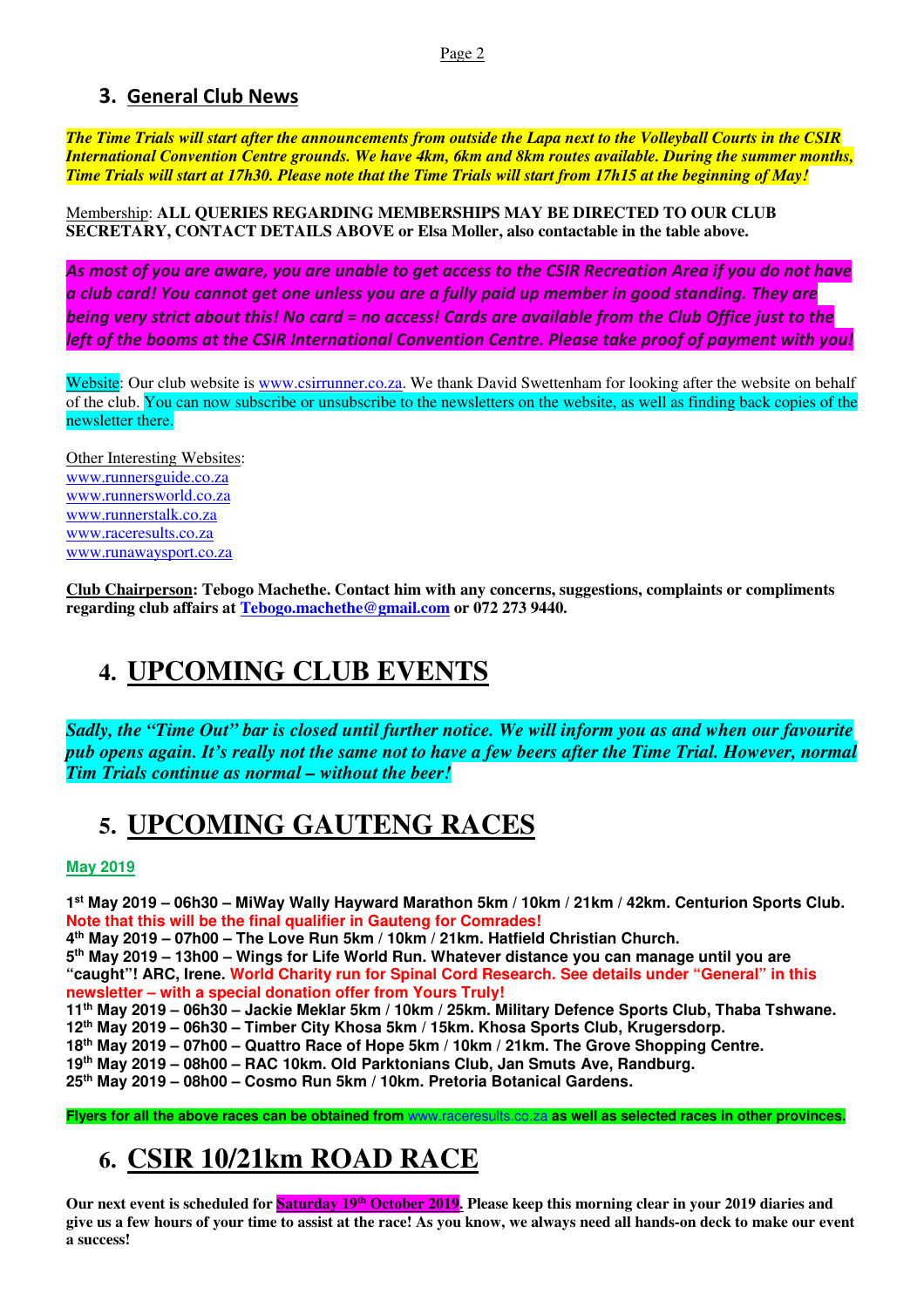### **3. General Club News**

*The Time Trials will start after the announcements from outside the Lapa next to the Volleyball Courts in the CSIR International Convention Centre grounds. We have 4km, 6km and 8km routes available. During the summer months, Time Trials will start at 17h30. Please note that the Time Trials will start from 17h15 at the beginning of May!*

Membership: **ALL QUERIES REGARDING MEMBERSHIPS MAY BE DIRECTED TO OUR CLUB SECRETARY, CONTACT DETAILS ABOVE or Elsa Moller, also contactable in the table above.** 

*As most of you are aware, you are unable to get access to the CSIR Recreation Area if you do not have a club card! You cannot get one unless you are a fully paid up member in good standing. They are being very strict about this! No card = no access! Cards are available from the Club Office just to the left of the booms at the CSIR International Convention Centre. Please take proof of payment with you!* 

Website: Our club website is www.csirrunner.co.za. We thank David Swettenham for looking after the website on behalf of the club. You can now subscribe or unsubscribe to the newsletters on the website, as well as finding back copies of the newsletter there.

Other Interesting Websites: www.runnersguide.co.za www.runnersworld.co.za www.runnerstalk.co.za www.raceresults.co.za www.runawaysport.co.za

**Club Chairperson: Tebogo Machethe. Contact him with any concerns, suggestions, complaints or compliments regarding club affairs at Tebogo.machethe@gmail.com or 072 273 9440.** 

# **4. UPCOMING CLUB EVENTS**

*Sadly, the "Time Out" bar is closed until further notice. We will inform you as and when our favourite pub opens again. It's really not the same not to have a few beers after the Time Trial. However, normal Tim Trials continue as normal – without the beer!*

# **5. UPCOMING GAUTENG RACES**

**May 2019** 

**1 st May 2019 – 06h30 – MiWay Wally Hayward Marathon 5km / 10km / 21km / 42km. Centurion Sports Club. Note that this will be the final qualifier in Gauteng for Comrades!** 

**4 th May 2019 – 07h00 – The Love Run 5km / 10km / 21km. Hatfield Christian Church.** 

**5 th May 2019 – 13h00 – Wings for Life World Run. Whatever distance you can manage until you are "caught"! ARC, Irene. World Charity run for Spinal Cord Research. See details under "General" in this newsletter – with a special donation offer from Yours Truly!** 

**11th May 2019 – 06h30 – Jackie Meklar 5km / 10km / 25km. Military Defence Sports Club, Thaba Tshwane.** 

**12th May 2019 – 06h30 – Timber City Khosa 5km / 15km. Khosa Sports Club, Krugersdorp.** 

**18th May 2019 – 07h00 – Quattro Race of Hope 5km / 10km / 21km. The Grove Shopping Centre.** 

**19th May 2019 – 08h00 – RAC 10km. Old Parktonians Club, Jan Smuts Ave, Randburg.** 

**25th May 2019 – 08h00 – Cosmo Run 5km / 10km. Pretoria Botanical Gardens.** 

**Flyers for all the above races can be obtained from** www.raceresults.co.za **as well as selected races in other provinces.** 

# **6. CSIR 10/21km ROAD RACE**

**Our next event is scheduled for Saturday 19th October 2019. Please keep this morning clear in your 2019 diaries and give us a few hours of your time to assist at the race! As you know, we always need all hands-on deck to make our event a success!**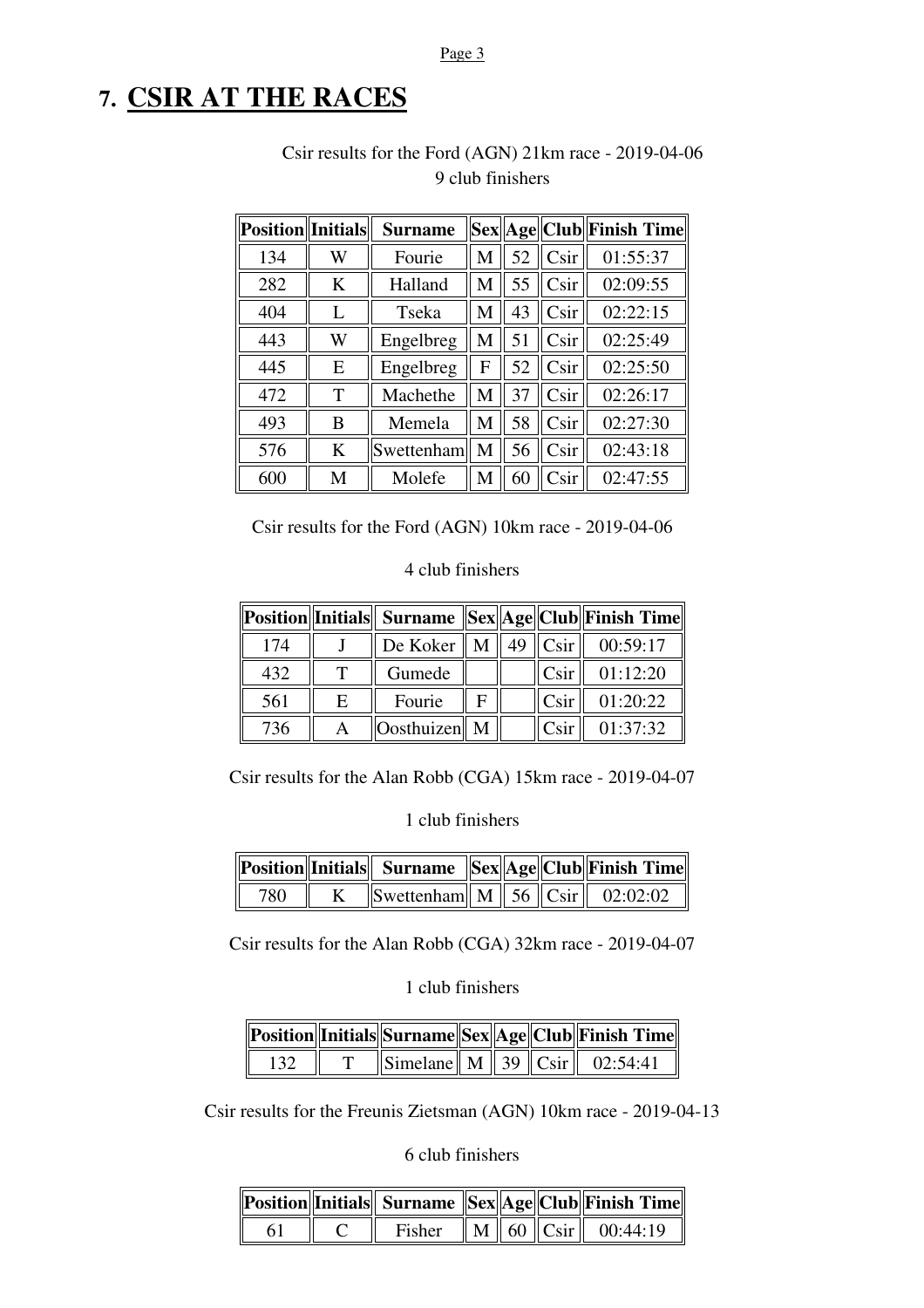#### Page 3

# **7. CSIR AT THE RACES**

| <b>Position</b> Initials |   | <b>Surname</b> |   |    |                 | Sex  Age  Club  Finish Time |
|--------------------------|---|----------------|---|----|-----------------|-----------------------------|
| 134                      | W | Fourie         | М | 52 | Csir            | 01:55:37                    |
| 282                      | K | Halland        | M | 55 | Csir            | 02:09:55                    |
| 404                      | L | Tseka          | М | 43 | Csir            | 02:22:15                    |
| 443                      | W | Engelbreg      | M | 51 | C <sub>Si</sub> | 02:25:49                    |
| 445                      | E | Engelbreg      | F | 52 | Csir            | 02:25:50                    |
| 472                      | T | Machethe       | М | 37 | Csir            | 02:26:17                    |
| 493                      | B | Memela         | M | 58 | Csir            | 02:27:30                    |
| 576                      | K | Swettenham   M |   | 56 | Csir            | 02:43:18                    |
| 600                      | M | Molefe         | M | 60 | Csir            | 02:47:55                    |

### Csir results for the Ford (AGN) 21km race - 2019-04-06 9 club finishers

Csir results for the Ford (AGN) 10km race - 2019-04-06

#### 4 club finishers

|     |   |                        |  |                   | Position  Initials   Surname   Sex  Age  Club  Finish Time |
|-----|---|------------------------|--|-------------------|------------------------------------------------------------|
| 174 |   | De Koker $\parallel$ M |  | 49 $C\sin$        | 00:59:17                                                   |
| 432 |   | Gumede                 |  | C <sub>Si</sub>   | 01:12:20                                                   |
| 561 | E | Fourie                 |  | C <sub>Si</sub>   | 01:20:22                                                   |
| 736 |   | Oosthuizen   M         |  | C <sub>S1</sub> r | 01:37:32                                                   |

Csir results for the Alan Robb (CGA) 15km race - 2019-04-07

1 club finishers

|      |                                                                         |  | Position  Initials   Surname   Sex  Age  Club  Finish Time |
|------|-------------------------------------------------------------------------|--|------------------------------------------------------------|
| 780- | Swettenham $\boxed{M \mid 56}$ $\boxed{C\text{sir}}$ $\boxed{02:02:02}$ |  |                                                            |

Csir results for the Alan Robb (CGA) 32km race - 2019-04-07

#### 1 club finishers

|     |  |  | Position  Initials  Surname  Sex  Age  Club  Finish Time   |
|-----|--|--|------------------------------------------------------------|
| 132 |  |  | $\ \text{Simplelane}\  M \  39 \  \text{Csir} \  02:54:41$ |

Csir results for the Freunis Zietsman (AGN) 10km race - 2019-04-13

6 club finishers

|     |        |  | Position  Initials   Surname   Sex  Age  Club  Finish Time |
|-----|--------|--|------------------------------------------------------------|
| -61 | Fisher |  | $\ M\ $ 60 $\ C\sin\ $ 00:44:19                            |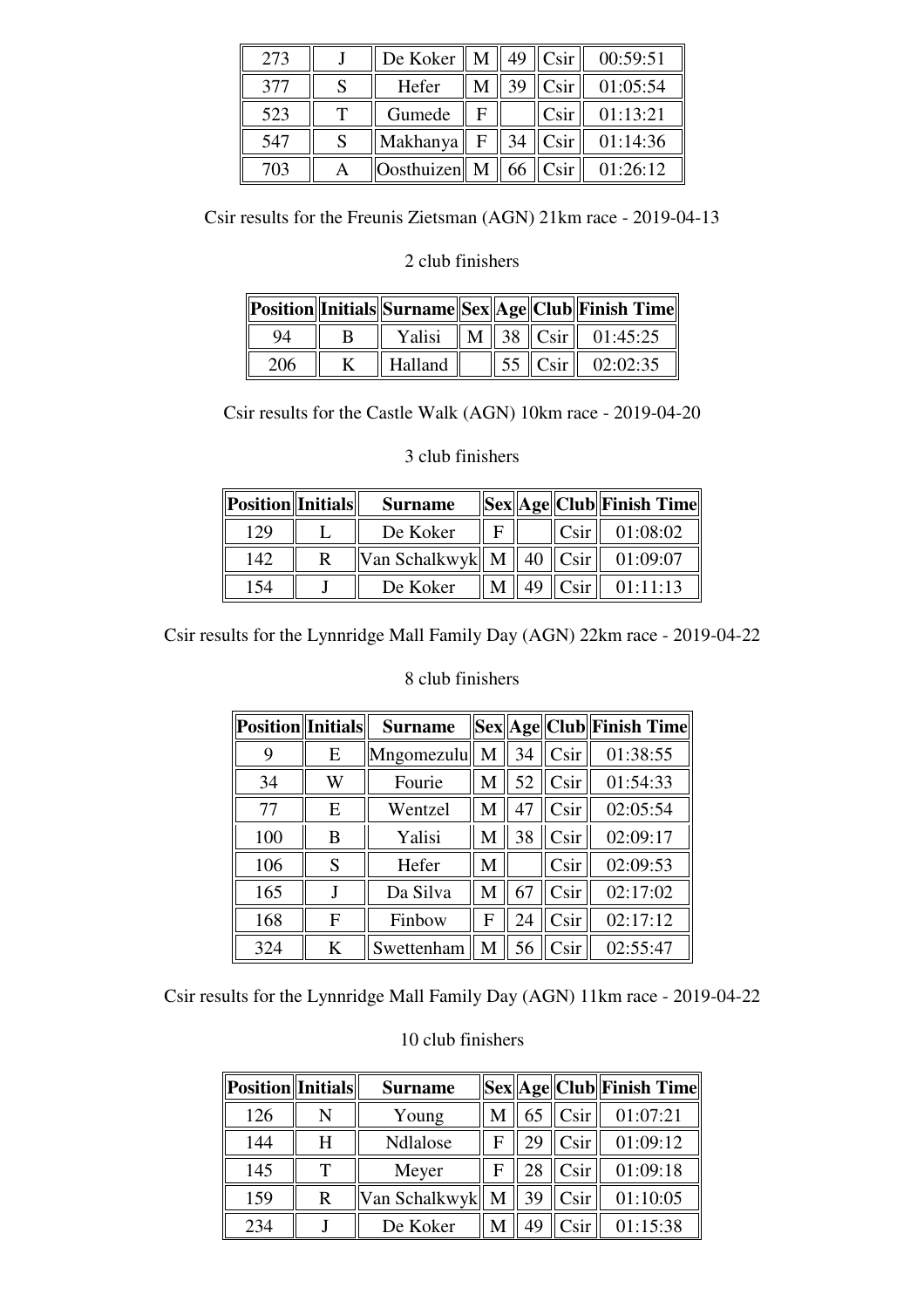| 273 |   | De Koker       | M            |    | $49$ Csir        | 00:59:51 |
|-----|---|----------------|--------------|----|------------------|----------|
| 377 |   | Hefer          |              | 39 | C <sub>sin</sub> | 01:05:54 |
| 523 | т | Gumede         | F            |    | C <sub>sin</sub> | 01:13:21 |
| 547 |   | Makhanya       | $\mathbf{F}$ | 34 | C <sub>sin</sub> | 01:14:36 |
| 703 |   | Oosthuizen   M |              | 66 | Csir             | 01:26:12 |

Csir results for the Freunis Zietsman (AGN) 21km race - 2019-04-13

#### 2 club finishers

|     |         |  | Position  Initials  Surname  Sex  Age  Club  Finish Time |
|-----|---------|--|----------------------------------------------------------|
| 94  | Yalisi  |  | $\ M\ $ 38 $\ C\sin\ $ 01:45:25                          |
| 206 | Halland |  | 55   $\text{Csir}$   02:02:35                            |

Csir results for the Castle Walk (AGN) 10km race - 2019-04-20

#### 3 club finishers

| <b>Position</b> Initials | <b>Surname</b>                          |  |                 | Sex  Age  Club  Finish Time |
|--------------------------|-----------------------------------------|--|-----------------|-----------------------------|
| 129                      | De Koker                                |  | C <sub>Si</sub> | 01:08:02                    |
| 142                      | Van Schalkwyk    M    40 $\ $ Csir $\ $ |  |                 | 01:09:07                    |
| .54                      | De Koker                                |  | C <sub>Si</sub> | 01:11:13                    |

Csir results for the Lynnridge Mall Family Day (AGN) 22km race - 2019-04-22

#### 8 club finishers

| <b>Position</b> Initials |   | <b>Surname</b> |   |    |      | Sex  Age  Club  Finish Time |
|--------------------------|---|----------------|---|----|------|-----------------------------|
| 9                        | E | Mngomezulu     | M | 34 | Csir | 01:38:55                    |
| 34                       | W | Fourie         | M | 52 | Csir | 01:54:33                    |
| 77                       | E | Wentzel        | M | 47 | Csir | 02:05:54                    |
| 100                      | B | Yalisi         | M | 38 | Csir | 02:09:17                    |
| 106                      | S | Hefer          | M |    | Csir | 02:09:53                    |
| 165                      | J | Da Silva       | M | 67 | Csir | 02:17:02                    |
| 168                      | F | Finbow         | F | 24 | Csir | 02:17:12                    |
| 324                      | K | Swettenham     | M | 56 | Csir | 02:55:47                    |

Csir results for the Lynnridge Mall Family Day (AGN) 11km race - 2019-04-22

#### 10 club finishers

| <b>Position</b> Initials |   | <b>Surname</b>    |    |                 | Sex  Age  Club  Finish Time |
|--------------------------|---|-------------------|----|-----------------|-----------------------------|
| 126                      |   | Young             | 65 | Csir            | 01:07:21                    |
| 144                      | H | Ndlalose          | 29 | C <sub>Si</sub> | 01:09:12                    |
| 145                      |   | Meyer             | 28 | C <sub>Si</sub> | 01:09:18                    |
| 159                      | R | Van Schalkwyk   M | 39 | Csir            | 01:10:05                    |
| 234                      |   | De Koker          | 49 | Csir            | 01:15:38                    |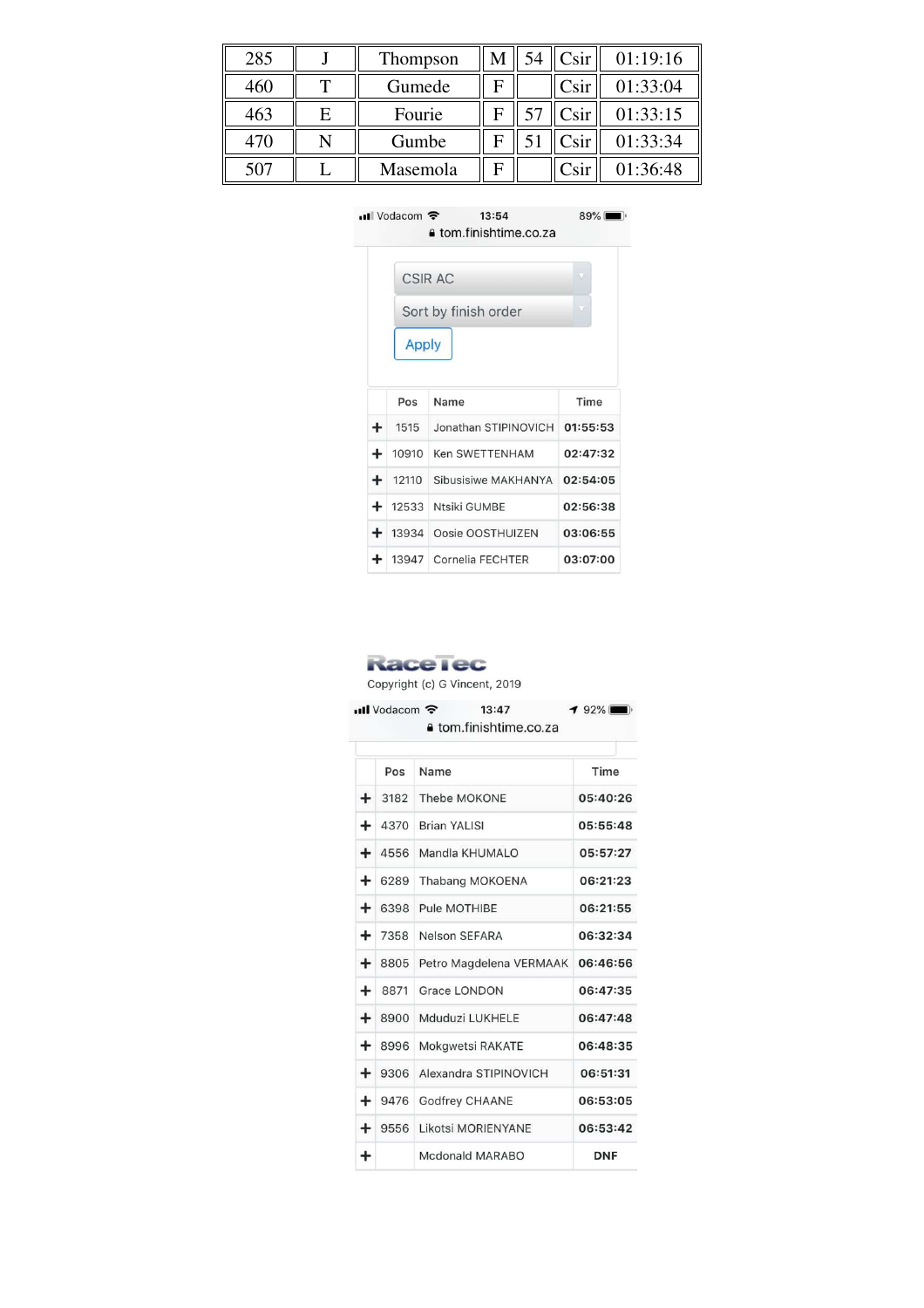| 285 |   | Thompson |   | C <sub>Si</sub>       | 01:19:16 |
|-----|---|----------|---|-----------------------|----------|
| 460 |   | Gumede   | F | C <sub>Si</sub> r     | 01:33:04 |
| 463 | Е | Fourie   |   | C <sub>Si</sub>       | 01:33:15 |
| 470 |   | Gumbe    |   | Csir                  | 01:33:34 |
| 507 |   | Masemola | F | $\operatorname{Csir}$ | 01:36:48 |



#### **RaceTec**

Copyright (c) G Vincent, 2019

| $\blacksquare$ Vodacom<br>192%<br>13:47<br>a tom.finishtime.co.za |      |                         |            |  |
|-------------------------------------------------------------------|------|-------------------------|------------|--|
|                                                                   | Pos  | Name                    | Time       |  |
| ٠                                                                 | 3182 | Thebe MOKONE            | 05:40:26   |  |
| +                                                                 | 4370 | <b>Brian YALISI</b>     | 05:55:48   |  |
| +                                                                 | 4556 | Mandla KHUMALO          | 05:57:27   |  |
| +                                                                 | 6289 | Thabang MOKOENA         | 06:21:23   |  |
| +                                                                 | 6398 | Pule MOTHIBE            | 06:21:55   |  |
| ٠                                                                 | 7358 | Nelson SEFARA           | 06:32:34   |  |
| +                                                                 | 8805 | Petro Magdelena VERMAAK | 06:46:56   |  |
| +                                                                 | 8871 | <b>Grace LONDON</b>     | 06:47:35   |  |
| +                                                                 | 8900 | Mduduzi LUKHELE         | 06:47:48   |  |
| ┿                                                                 | 8996 | Mokgwetsi RAKATE        | 06:48:35   |  |
| +                                                                 | 9306 | Alexandra STIPINOVICH   | 06:51:31   |  |
| ÷                                                                 | 9476 | Godfrey CHAANE          | 06:53:05   |  |
| $+$                                                               | 9556 | Likotsi MORIENYANE      | 06:53:42   |  |
| +                                                                 |      | Mcdonald MARABO         | <b>DNF</b> |  |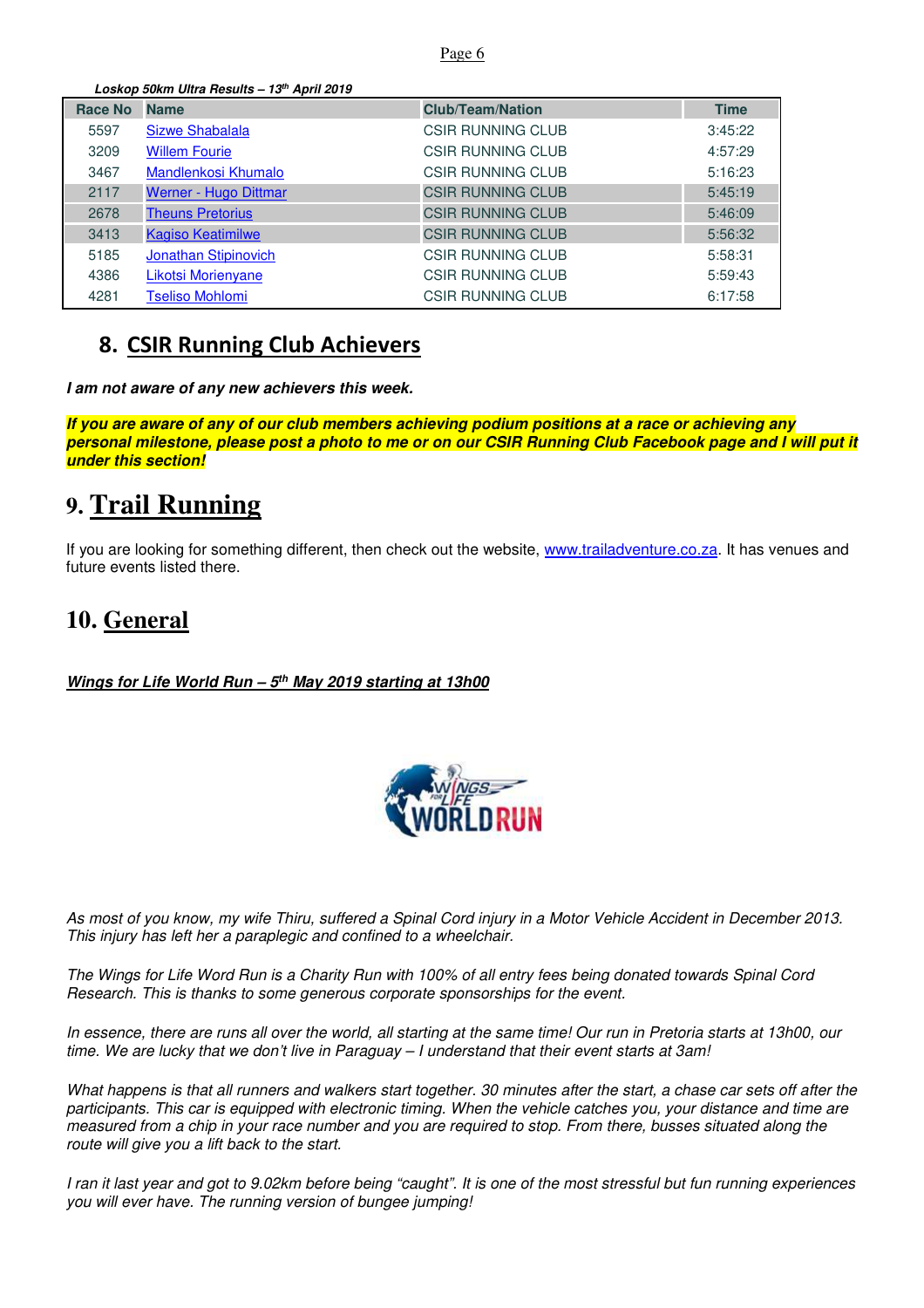#### Page 6

**Loskop 50km Ultra Results – 13th April 2019** 

| <b>Race No</b> | <b>Name</b>              | <b>Club/Team/Nation</b>  | <b>Time</b> |
|----------------|--------------------------|--------------------------|-------------|
| 5597           | <b>Sizwe Shabalala</b>   | CSIR RUNNING CLUB        | 3:45:22     |
| 3209           | <b>Willem Fourie</b>     | CSIR RUNNING CLUB        | 4:57:29     |
| 3467           | Mandlenkosi Khumalo      | <b>CSIR RUNNING CLUB</b> | 5:16:23     |
| 2117           | Werner - Hugo Dittmar    | <b>CSIR RUNNING CLUB</b> | 5:45:19     |
| 2678           | <b>Theuns Pretorius</b>  | <b>CSIR RUNNING CLUB</b> | 5:46:09     |
| 3413           | <b>Kagiso Keatimilwe</b> | <b>CSIR RUNNING CLUB</b> | 5:56:32     |
| 5185           | Jonathan Stipinovich     | <b>CSIR RUNNING CLUB</b> | 5:58:31     |
| 4386           | Likotsi Morienyane       | <b>CSIR RUNNING CLUB</b> | 5:59:43     |
| 4281           | <b>Tseliso Mohlomi</b>   | <b>CSIR RUNNING CLUB</b> | 6:17:58     |

### **8. CSIR Running Club Achievers**

**I am not aware of any new achievers this week.** 

**If you are aware of any of our club members achieving podium positions at a race or achieving any personal milestone, please post a photo to me or on our CSIR Running Club Facebook page and I will put it under this section!**

# **9. Trail Running**

If you are looking for something different, then check out the website, www.trailadventure.co.za. It has venues and future events listed there.

### **10. General**

**Wings for Life World Run – 5th May 2019 starting at 13h00** 



As most of you know, my wife Thiru, suffered a Spinal Cord injury in a Motor Vehicle Accident in December 2013. This injury has left her a paraplegic and confined to a wheelchair.

The Wings for Life Word Run is a Charity Run with 100% of all entry fees being donated towards Spinal Cord Research. This is thanks to some generous corporate sponsorships for the event.

In essence, there are runs all over the world, all starting at the same time! Our run in Pretoria starts at 13h00, our time. We are lucky that we don't live in Paraguay – I understand that their event starts at 3am!

What happens is that all runners and walkers start together. 30 minutes after the start, a chase car sets off after the participants. This car is equipped with electronic timing. When the vehicle catches you, your distance and time are measured from a chip in your race number and you are required to stop. From there, busses situated along the route will give you a lift back to the start.

I ran it last year and got to 9.02km before being "caught". It is one of the most stressful but fun running experiences you will ever have. The running version of bungee jumping!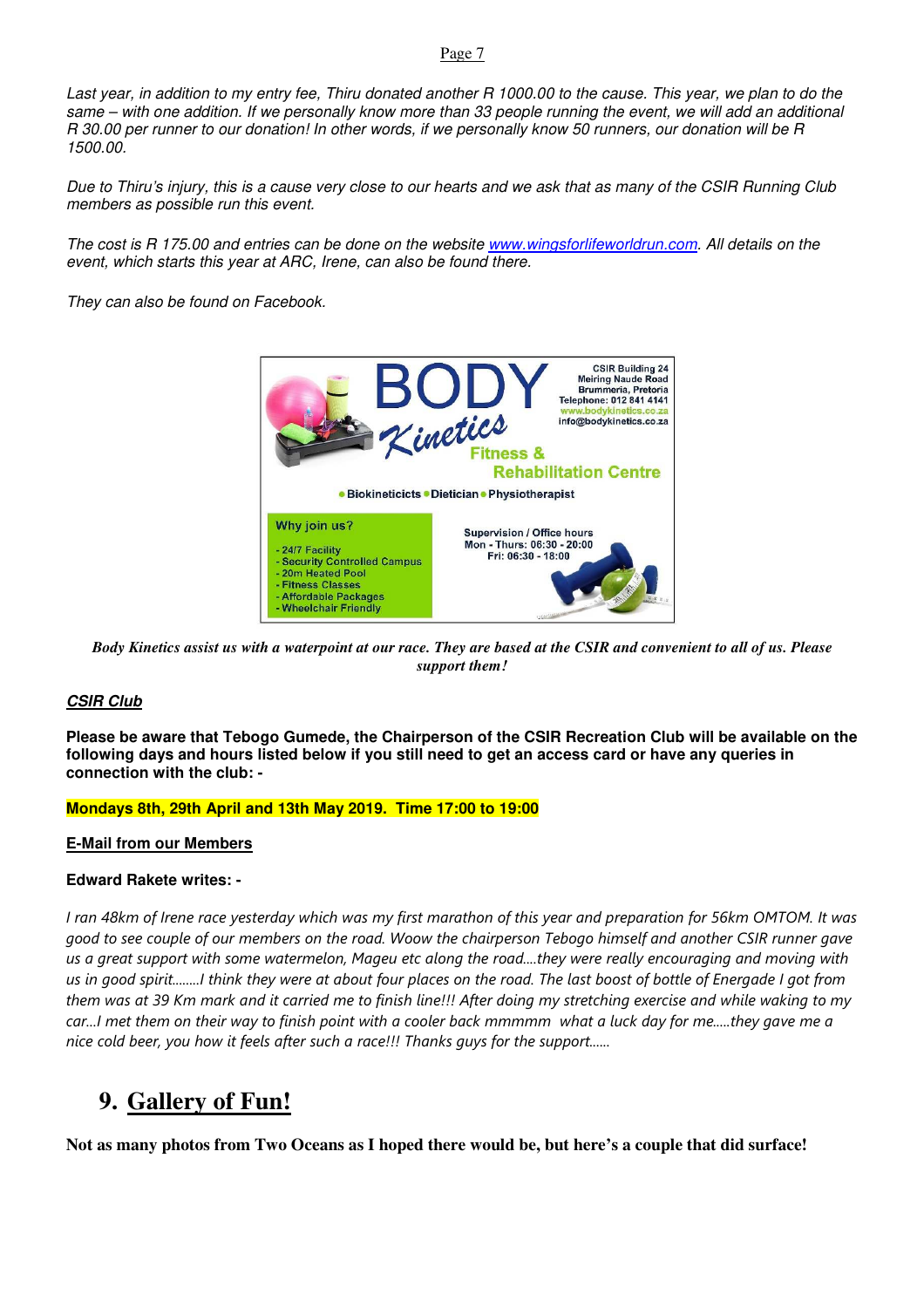#### Page 7

Last year, in addition to my entry fee, Thiru donated another R 1000.00 to the cause. This year, we plan to do the same – with one addition. If we personally know more than 33 people running the event, we will add an additional R 30.00 per runner to our donation! In other words, if we personally know 50 runners, our donation will be R 1500.00.

Due to Thiru's injury, this is a cause very close to our hearts and we ask that as many of the CSIR Running Club members as possible run this event.

The cost is R 175.00 and entries can be done on the website www.wingsforlifeworldrun.com. All details on the event, which starts this year at ARC, Irene, can also be found there.

They can also be found on Facebook.



*Body Kinetics assist us with a waterpoint at our race. They are based at the CSIR and convenient to all of us. Please support them!* 

#### **CSIR Club**

**Please be aware that Tebogo Gumede, the Chairperson of the CSIR Recreation Club will be available on the following days and hours listed below if you still need to get an access card or have any queries in connection with the club: -** 

#### **Mondays 8th, 29th April and 13th May 2019. Time 17:00 to 19:00**

#### **E-Mail from our Members**

#### **Edward Rakete writes: -**

*I ran 48km of Irene race yesterday which was my first marathon of this year and preparation for 56km OMTOM. It was good to see couple of our members on the road. Woow the chairperson Tebogo himself and another CSIR runner gave us a great support with some watermelon, Mageu etc along the road....they were really encouraging and moving with us in good spirit........I think they were at about four places on the road. The last boost of bottle of Energade I got from them was at 39 Km mark and it carried me to finish line!!! After doing my stretching exercise and while waking to my car...I met them on their way to finish point with a cooler back mmmmm what a luck day for me.....they gave me a nice cold beer, you how it feels after such a race!!! Thanks guys for the support......* 

### **9. Gallery of Fun!**

**Not as many photos from Two Oceans as I hoped there would be, but here's a couple that did surface!**